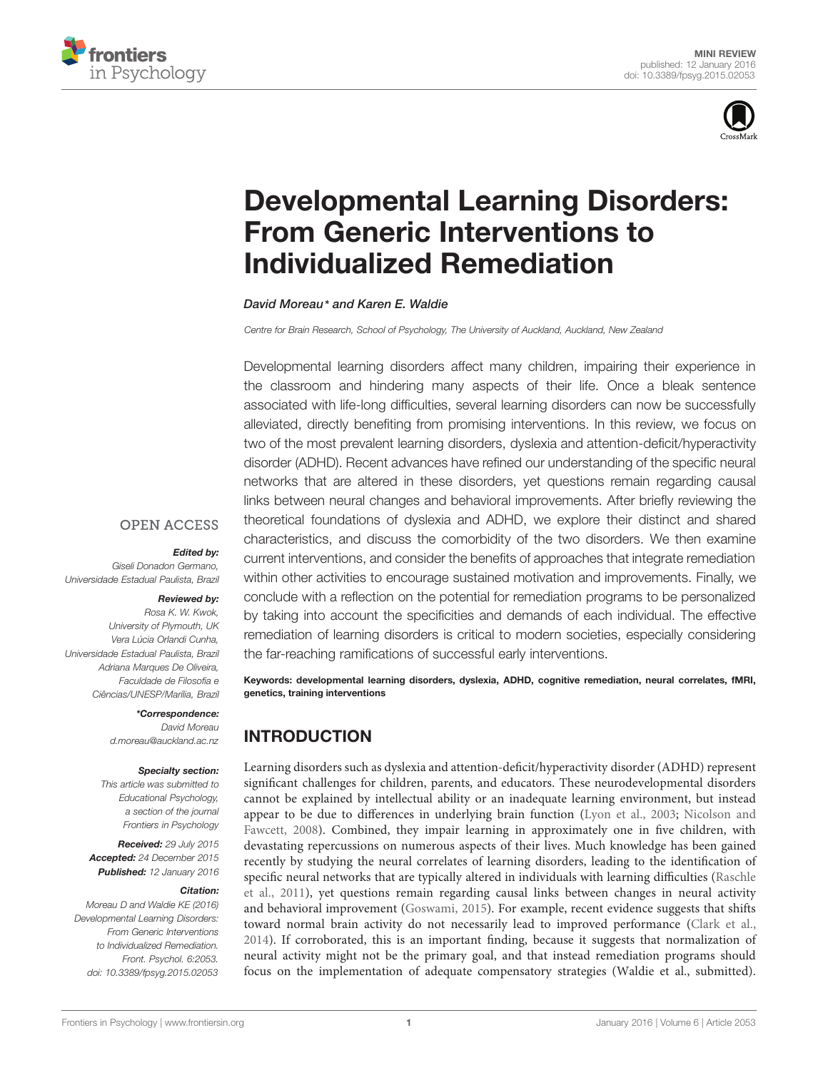



# [Developmental Learning Disorders:](http://journal.frontiersin.org/article/10.3389/fpsyg.2015.02053/abstract) From Generic Interventions to Individualized Remediation

*[David Moreau](http://loop.frontiersin.org/people/173164/overview)\* and [Karen E. Waldie](http://loop.frontiersin.org/people/69344/overview)*

*Centre for Brain Research, School of Psychology, The University of Auckland, Auckland, New Zealand*

Developmental learning disorders affect many children, impairing their experience in the classroom and hindering many aspects of their life. Once a bleak sentence associated with life-long difficulties, several learning disorders can now be successfully alleviated, directly benefiting from promising interventions. In this review, we focus on two of the most prevalent learning disorders, dyslexia and attention-deficit/hyperactivity disorder (ADHD). Recent advances have refined our understanding of the specific neural networks that are altered in these disorders, yet questions remain regarding causal links between neural changes and behavioral improvements. After briefly reviewing the theoretical foundations of dyslexia and ADHD, we explore their distinct and shared characteristics, and discuss the comorbidity of the two disorders. We then examine current interventions, and consider the benefits of approaches that integrate remediation within other activities to encourage sustained motivation and improvements. Finally, we conclude with a reflection on the potential for remediation programs to be personalized by taking into account the specificities and demands of each individual. The effective remediation of learning disorders is critical to modern societies, especially considering the far-reaching ramifications of successful early interventions.

Keywords: developmental learning disorders, dyslexia, ADHD, cognitive remediation, neural correlates, fMRI, genetics, training interventions

# INTRODUCTION

Learning disorders such as dyslexia and attention-deficit/hyperactivity disorder (ADHD) represent significant challenges for children, parents, and educators. These neurodevelopmental disorders cannot be explained by intellectual ability or an inadequate learning environment, but instead appear [to be due to differences in underlying brain function](#page-6-0) [\(Lyon et al.](#page-5-0)[,](#page-6-0) [2003](#page-5-0)[;](#page-6-0) Nicolson and Fawcett, [2008\)](#page-6-0). Combined, they impair learning in approximately one in five children, with devastating repercussions on numerous aspects of their lives. Much knowledge has been gained recently by studying the neural correlates of learning disorders, leading to the identification of speci[fic](#page-6-1) [neural](#page-6-1) [networks](#page-6-1) [that](#page-6-1) [are](#page-6-1) [typically](#page-6-1) [altered](#page-6-1) [in](#page-6-1) [individuals](#page-6-1) [with](#page-6-1) [learning](#page-6-1) [difficulties](#page-6-1) [\(](#page-6-1)Raschle et al., [2011](#page-6-1)), yet questions remain regarding causal links between changes in neural activity and behavioral improvement [\(Goswami](#page-5-1), [2015](#page-5-1)). For example, recent evidence suggests that shifts toward normal brain activity do not necessarily lead to improved performance [\(Clark et al.](#page-5-2), [2014\)](#page-5-2). If corroborated, this is an important finding, because it suggests that normalization of neural activity might not be the primary goal, and that instead remediation programs should focus on the implementation of adequate compensatory strategies (Waldie et al., submitted).

#### **OPEN ACCESS**

#### *Edited by:*

*Giseli Donadon Germano, Universidade Estadual Paulista, Brazil*

#### *Reviewed by:*

*Rosa K. W. Kwok, University of Plymouth, UK Vera Lúcia Orlandi Cunha, Universidade Estadual Paulista, Brazil Adriana Marques De Oliveira, Faculdade de Filosofia e Ciências/UNESP/Marília, Brazil*

## *\*Correspondence:*

*David Moreau d.moreau@auckland.ac.nz*

#### *Specialty section:*

*This article was submitted to Educational Psychology, a section of the journal Frontiers in Psychology*

*Received: 29 July 2015 Accepted: 24 December 2015 Published: 12 January 2016*

#### *Citation:*

*Moreau D and Waldie KE (2016) Developmental Learning Disorders: From Generic Interventions to Individualized Remediation. Front. Psychol. 6:2053. doi: [10.3389/fpsyg.2015.02053](http://dx.doi.org/10.3389/fpsyg.2015.02053)*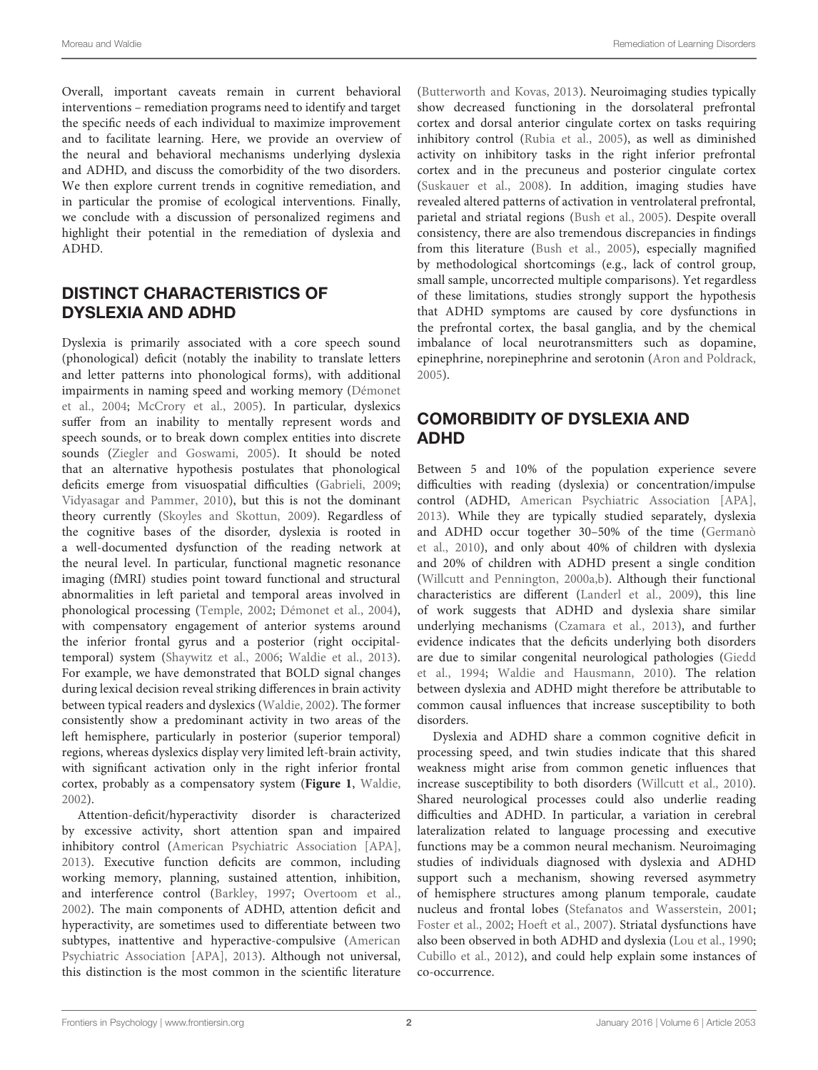Overall, important caveats remain in current behavioral interventions – remediation programs need to identify and target the specific needs of each individual to maximize improvement and to facilitate learning. Here, we provide an overview of the neural and behavioral mechanisms underlying dyslexia and ADHD, and discuss the comorbidity of the two disorders. We then explore current trends in cognitive remediation, and in particular the promise of ecological interventions. Finally, we conclude with a discussion of personalized regimens and highlight their potential in the remediation of dyslexia and ADHD.

## DISTINCT CHARACTERISTICS OF DYSLEXIA AND ADHD

Dyslexia is primarily associated with a core speech sound (phonological) deficit (notably the inability to translate letters and letter patterns into phonological forms), with additional impa[irments in naming speed and working memory \(](#page-5-3)Démonet et al., [2004](#page-5-3); [McCrory et al.](#page-5-4), [2005](#page-5-4)). In particular, dyslexics suffer from an inability to mentally represent words and speech sounds, or to break down complex entities into discrete sounds [\(Ziegler and Goswami](#page-7-0), [2005](#page-7-0)). It should be noted that an alternative hypothesis postulates that phonological deficits emerge from visuospatial difficulties [\(Gabrieli, 2009;](#page-5-5) [Vidyasagar and Pammer](#page-6-2), [2010](#page-6-2)), but this is not the dominant theory currently [\(Skoyles and Skottun, 2009\)](#page-6-3). Regardless of the cognitive bases of the disorder, dyslexia is rooted in a well-documented dysfunction of the reading network at the neural level. In particular, functional magnetic resonance imaging (fMRI) studies point toward functional and structural abnormalities in left parietal and temporal areas involved in phonological processing [\(Temple, 2002](#page-6-4); [Démonet et al.](#page-5-3), [2004](#page-5-3)), with compensatory engagement of anterior systems around the inferior frontal gyrus and a posterior (right occipitaltemporal) system [\(Shaywitz et al., 2006;](#page-6-5) [Waldie et al., 2013](#page-6-6)). For example, we have demonstrated that BOLD signal changes during lexical decision reveal striking differences in brain activity between typical readers and dyslexics [\(Waldie, 2002\)](#page-6-7). The former consistently show a predominant activity in two areas of the left hemisphere, particularly in posterior (superior temporal) regions, whereas dyslexics display very limited left-brain activity, with significant activation only in the right inferior frontal cortex, probably as a compensatory system (**[Figure 1](#page-2-0)**, [Waldie,](#page-6-7) [2002](#page-6-7)).

Attention-deficit/hyperactivity disorder is characterized by excessive activity, short attention span and impaired inhibitory control [\(American Psychiatric Association \[APA\],](#page-4-0) [2013](#page-4-0)). Executive function deficits are common, including working memory, planning, sustained attention, inhibition, and interference control [\(Barkley](#page-4-1), [1997](#page-4-1); [Overtoom et al.,](#page-6-8) [2002](#page-6-8)). The main components of ADHD, attention deficit and hyperactivity, are sometimes used to differentiate between two subtypes, inattentive and hy[peractive-compulsive \(](#page-4-0)American Psychiatric Association [APA], [2013\)](#page-4-0). Although not universal, this distinction is the most common in the scientific literature

[\(Butterworth and Kovas, 2013](#page-5-6)). Neuroimaging studies typically show decreased functioning in the dorsolateral prefrontal cortex and dorsal anterior cingulate cortex on tasks requiring inhibitory control [\(Rubia et al., 2005\)](#page-6-9), as well as diminished activity on inhibitory tasks in the right inferior prefrontal cortex and in the precuneus and posterior cingulate cortex [\(Suskauer et al.](#page-6-10), [2008](#page-6-10)). In addition, imaging studies have revealed altered patterns of activation in ventrolateral prefrontal, parietal and striatal regions [\(Bush et al., 2005](#page-5-7)). Despite overall consistency, there are also tremendous discrepancies in findings from this literature [\(Bush et al., 2005](#page-5-7)), especially magnified by methodological shortcomings (e.g., lack of control group, small sample, uncorrected multiple comparisons). Yet regardless of these limitations, studies strongly support the hypothesis that ADHD symptoms are caused by core dysfunctions in the prefrontal cortex, the basal ganglia, and by the chemical imbalance of local neurotransmitters such as dopamine, epinephrine, norepinephrine and serotonin [\(Aron and Poldrack](#page-4-2), [2005\)](#page-4-2).

# COMORBIDITY OF DYSLEXIA AND ADHD

Between 5 and 10% of the population experience severe difficulties with reading (dyslexia) or concentration/impulse control (ADHD, [American Psychiatric Association \[APA\]](#page-4-0), [2013\)](#page-4-0). While they are typically studied separately, dyslexia and [ADHD occur together 30–50% of the time \(](#page-5-8)Germanò et al., [2010\)](#page-5-8), and only about 40% of children with dyslexia and 20% of children with ADHD present a single condition [\(Willcutt and Pennington, 2000a](#page-6-11)[,b](#page-6-12)). Although their functional characteristics are different [\(Landerl et al.](#page-5-9), [2009](#page-5-9)), this line of work suggests that ADHD and dyslexia share similar underlying mechanisms [\(Czamara et al.](#page-5-10), [2013\)](#page-5-10), and further evidence indicates that the deficits underlying both disorders are d[ue](#page-5-11) [to](#page-5-11) [similar](#page-5-11) [congenital](#page-5-11) [neurological](#page-5-11) [pathologies](#page-5-11) [\(](#page-5-11)Giedd et al., [1994](#page-5-11); [Waldie and Hausmann, 2010\)](#page-6-13). The relation between dyslexia and ADHD might therefore be attributable to common causal influences that increase susceptibility to both disorders.

Dyslexia and ADHD share a common cognitive deficit in processing speed, and twin studies indicate that this shared weakness might arise from common genetic influences that increase susceptibility to both disorders [\(Willcutt et al., 2010\)](#page-6-14). Shared neurological processes could also underlie reading difficulties and ADHD. In particular, a variation in cerebral lateralization related to language processing and executive functions may be a common neural mechanism. Neuroimaging studies of individuals diagnosed with dyslexia and ADHD support such a mechanism, showing reversed asymmetry of hemisphere structures among planum temporale, caudate nucleus and frontal lobes [\(Stefanatos and Wasserstein](#page-6-15), [2001](#page-6-15); [Foster et al., 2002;](#page-5-12) [Hoeft et al., 2007](#page-5-13)). Striatal dysfunctions have also been observed in both ADHD and dyslexia [\(Lou et al., 1990](#page-5-14); [Cubillo et al.](#page-5-15), [2012](#page-5-15)), and could help explain some instances of co-occurrence.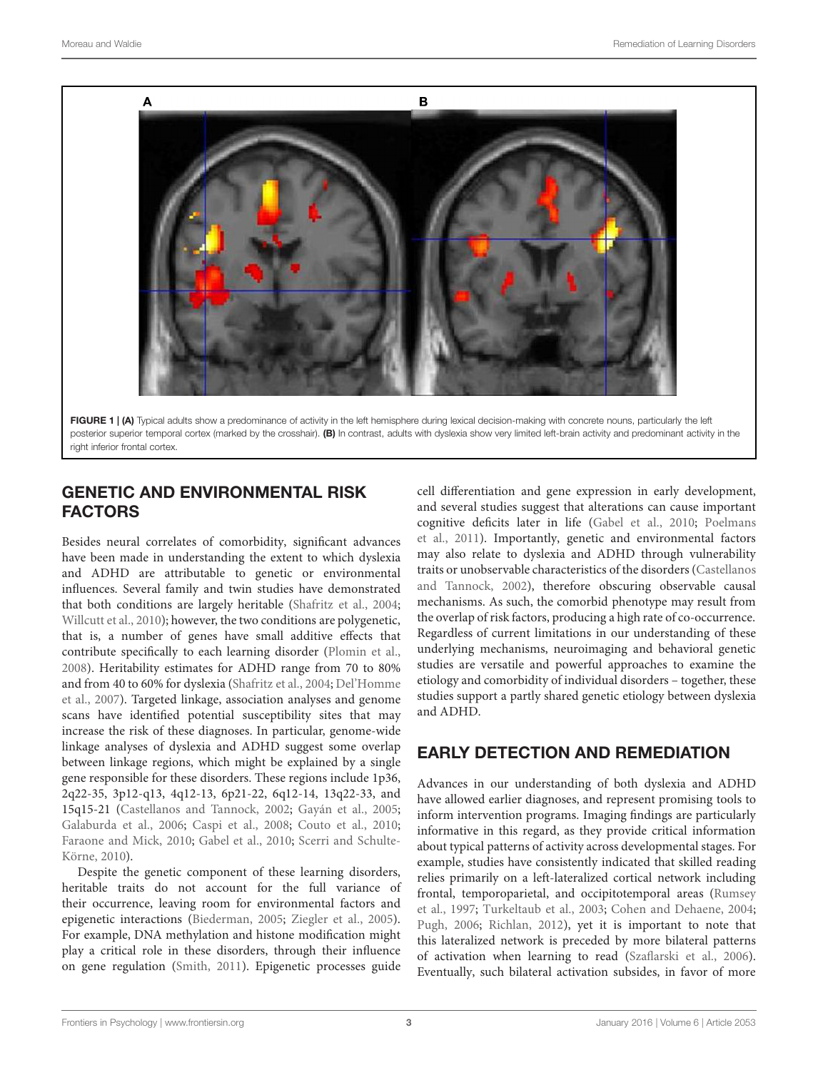

FIGURE 1 | (A) Typical adults show a predominance of activity in the left hemisphere during lexical decision-making with concrete nouns, particularly the left posterior superior temporal cortex (marked by the crosshair). (B) In contrast, adults with dyslexia show very limited left-brain activity and predominant activity in the right inferior frontal cortex.

# <span id="page-2-0"></span>GENETIC AND ENVIRONMENTAL RISK FACTORS

Besides neural correlates of comorbidity, significant advances have been made in understanding the extent to which dyslexia and ADHD are attributable to genetic or environmental influences. Several family and twin studies have demonstrated that both conditions are largely heritable [\(Shafritz et al., 2004;](#page-6-16) [Willcutt et al.](#page-6-14), [2010](#page-6-14)); however, the two conditions are polygenetic, that is, a number of genes have small additive effects that contribute specifically to each learning disorder [\(Plomin et al.,](#page-6-17) [2008](#page-6-17)). Heritability estimates for ADHD range from 70 to 80% and [from 40 to 60% for dyslexia](#page-5-16) [\(Shafritz et al.](#page-6-16)[,](#page-5-16) [2004](#page-6-16)[;](#page-5-16) Del'Homme et al., [2007](#page-5-16)). Targeted linkage, association analyses and genome scans have identified potential susceptibility sites that may increase the risk of these diagnoses. In particular, genome-wide linkage analyses of dyslexia and ADHD suggest some overlap between linkage regions, which might be explained by a single gene responsible for these disorders. These regions include 1p36, 2q22-35, 3p12-q13, 4q12-13, 6p21-22, 6q12-14, 13q22-33, and 15q15-21 [\(Castellanos and Tannock](#page-5-17), [2002;](#page-5-17) [Gayán et al.](#page-5-18), [2005;](#page-5-18) [Galaburda et al.](#page-5-19), [2006;](#page-5-19) [Caspi et al., 2008](#page-5-20); [Couto et al., 2010;](#page-5-21) [Faraone and Mick](#page-5-22)[,](#page-6-18) [2010;](#page-5-22) [Gabel et al., 2010](#page-5-23); Scerri and Schulte-Körne, [2010\)](#page-6-18).

Despite the genetic component of these learning disorders, heritable traits do not account for the full variance of their occurrence, leaving room for environmental factors and epigenetic interactions [\(Biederman, 2005](#page-5-24); [Ziegler et al.](#page-6-19), [2005](#page-6-19)). For example, DNA methylation and histone modification might play a critical role in these disorders, through their influence on gene regulation [\(Smith](#page-6-20), [2011](#page-6-20)). Epigenetic processes guide

cell differentiation and gene expression in early development, and several studies suggest that alterations can cause important cogn[itive deficits later in life](#page-6-21) [\(Gabel et al.](#page-5-23)[,](#page-6-21) [2010;](#page-5-23) Poelmans et al., [2011](#page-6-21)). Importantly, genetic and environmental factors may also relate to dyslexia and ADHD through vulnerability traits or unob[servable characteristics of the disorders \(](#page-5-17)Castellanos and Tannock, [2002\)](#page-5-17), therefore obscuring observable causal mechanisms. As such, the comorbid phenotype may result from the overlap of risk factors, producing a high rate of co-occurrence. Regardless of current limitations in our understanding of these underlying mechanisms, neuroimaging and behavioral genetic studies are versatile and powerful approaches to examine the etiology and comorbidity of individual disorders – together, these studies support a partly shared genetic etiology between dyslexia and ADHD.

## EARLY DETECTION AND REMEDIATION

Advances in our understanding of both dyslexia and ADHD have allowed earlier diagnoses, and represent promising tools to inform intervention programs. Imaging findings are particularly informative in this regard, as they provide critical information about typical patterns of activity across developmental stages. For example, studies have consistently indicated that skilled reading relies primarily on a left-lateralized cortical network including front[al,](#page-6-22) [temporoparietal,](#page-6-22) [and](#page-6-22) [occipitotemporal](#page-6-22) [areas](#page-6-22) [\(](#page-6-22)Rumsey et al., [1997](#page-6-22); [Turkeltaub et al.](#page-6-23), [2003;](#page-6-23) [Cohen and Dehaene, 2004](#page-5-25); [Pugh, 2006;](#page-6-24) [Richlan, 2012](#page-6-25)), yet it is important to note that this lateralized network is preceded by more bilateral patterns of activation when learning to read [\(Szaflarski et al., 2006\)](#page-6-26). Eventually, such bilateral activation subsides, in favor of more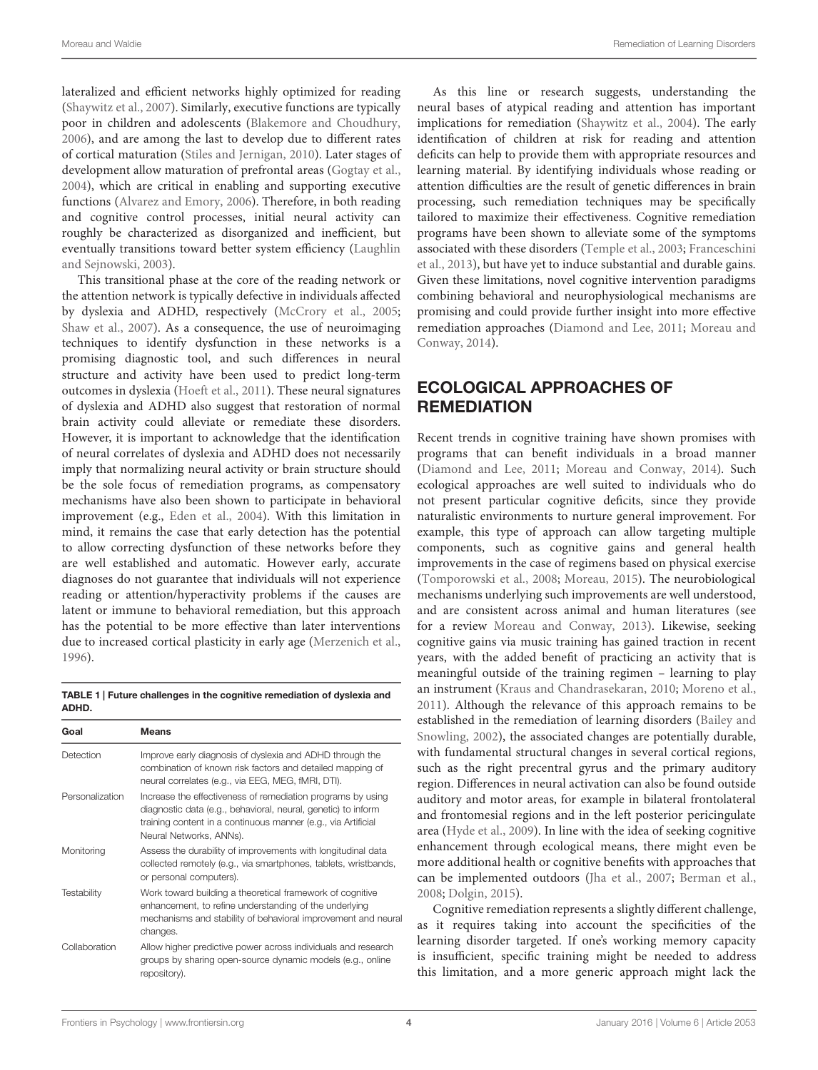lateralized and efficient networks highly optimized for reading [\(Shaywitz et al.](#page-6-27), [2007](#page-6-27)). Similarly, executive functions are typically poor in children and adolescents [\(Blakemore and Choudhury](#page-5-26), [2006](#page-5-26)), and are among the last to develop due to different rates of cortical maturation [\(Stiles and Jernigan](#page-6-28), [2010\)](#page-6-28). Later stages of development allow maturation of prefrontal areas [\(Gogtay et al.,](#page-5-27) [2004](#page-5-27)), which are critical in enabling and supporting executive functions [\(Alvarez and Emory](#page-4-3), [2006](#page-4-3)). Therefore, in both reading and cognitive control processes, initial neural activity can roughly be characterized as disorganized and inefficient, but eventually tra[nsitions toward better system efficiency \(](#page-5-28)Laughlin and Sejnowski, [2003](#page-5-28)).

This transitional phase at the core of the reading network or the attention network is typically defective in individuals affected by dyslexia and ADHD, respectively [\(McCrory et al., 2005;](#page-5-4) [Shaw et al., 2007](#page-6-29)). As a consequence, the use of neuroimaging techniques to identify dysfunction in these networks is a promising diagnostic tool, and such differences in neural structure and activity have been used to predict long-term outcomes in dyslexia [\(Hoeft et al., 2011](#page-5-29)). These neural signatures of dyslexia and ADHD also suggest that restoration of normal brain activity could alleviate or remediate these disorders. However, it is important to acknowledge that the identification of neural correlates of dyslexia and ADHD does not necessarily imply that normalizing neural activity or brain structure should be the sole focus of remediation programs, as compensatory mechanisms have also been shown to participate in behavioral improvement (e.g., [Eden et al., 2004](#page-5-30)). With this limitation in mind, it remains the case that early detection has the potential to allow correcting dysfunction of these networks before they are well established and automatic. However early, accurate diagnoses do not guarantee that individuals will not experience reading or attention/hyperactivity problems if the causes are latent or immune to behavioral remediation, but this approach has the potential to be more effective than later interventions due to increased cortical plasticity in early age [\(Merzenich et al.,](#page-6-30) [1996](#page-6-30)).

<span id="page-3-0"></span>TABLE 1 | Future challenges in the cognitive remediation of dyslexia and ADHD.

| Goal            | <b>Means</b>                                                                                                                                                                                                             |
|-----------------|--------------------------------------------------------------------------------------------------------------------------------------------------------------------------------------------------------------------------|
| Detection       | Improve early diagnosis of dyslexia and ADHD through the<br>combination of known risk factors and detailed mapping of<br>neural correlates (e.g., via EEG, MEG, fMRI, DTI).                                              |
| Personalization | Increase the effectiveness of remediation programs by using<br>diagnostic data (e.g., behavioral, neural, genetic) to inform<br>training content in a continuous manner (e.g., via Artificial<br>Neural Networks, ANNs). |
| Monitoring      | Assess the durability of improvements with longitudinal data<br>collected remotely (e.g., via smartphones, tablets, wristbands,<br>or personal computers).                                                               |
| Testability     | Work toward building a theoretical framework of cognitive<br>enhancement, to refine understanding of the underlying<br>mechanisms and stability of behavioral improvement and neural<br>changes.                         |
| Collaboration   | Allow higher predictive power across individuals and research<br>groups by sharing open-source dynamic models (e.g., online<br>repository).                                                                              |

As this line or research suggests, understanding the neural bases of atypical reading and attention has important implications for remediation [\(Shaywitz et al.](#page-6-31), [2004](#page-6-31)). The early identification of children at risk for reading and attention deficits can help to provide them with appropriate resources and learning material. By identifying individuals whose reading or attention difficulties are the result of genetic differences in brain processing, such remediation techniques may be specifically tailored to maximize their effectiveness. Cognitive remediation programs have been shown to alleviate some of the symptoms asso[ciated with these disorders](#page-5-31) [\(Temple et al.](#page-6-32)[,](#page-5-31) [2003](#page-6-32)[;](#page-5-31) Franceschini et al., [2013](#page-5-31)), but have yet to induce substantial and durable gains. Given these limitations, novel cognitive intervention paradigms combining behavioral and neurophysiological mechanisms are promising and could provide further insight into more effective remedia[tion approaches](#page-6-33) [\(Diamond and Lee](#page-5-32)[,](#page-6-33) [2011](#page-5-32)[;](#page-6-33) Moreau and Conway, [2014\)](#page-6-33).

# ECOLOGICAL APPROACHES OF **REMEDIATION**

Recent trends in cognitive training have shown promises with programs that can benefit individuals in a broad manner [\(Diamond and Lee](#page-5-32), [2011](#page-5-32); [Moreau and Conway, 2014\)](#page-6-33). Such ecological approaches are well suited to individuals who do not present particular cognitive deficits, since they provide naturalistic environments to nurture general improvement. For example, this type of approach can allow targeting multiple components, such as cognitive gains and general health improvements in the case of regimens based on physical exercise [\(Tomporowski et al.](#page-6-34), [2008;](#page-6-34) [Moreau](#page-6-35), [2015](#page-6-35)). The neurobiological mechanisms underlying such improvements are well understood, and are consistent across animal and human literatures (see for a review [Moreau and Conway, 2013](#page-6-36)). Likewise, seeking cognitive gains via music training has gained traction in recent years, with the added benefit of practicing an activity that is meaningful outside of the training regimen – learning to play an instrument [\(Kraus and Chandrasekaran, 2010;](#page-5-33) [Moreno et al.](#page-6-37), [2011\)](#page-6-37). Although the relevance of this approach remains to be establish[ed in the remediation of learning disorders \(](#page-4-4)Bailey and Snowling, [2002\)](#page-4-4), the associated changes are potentially durable, with fundamental structural changes in several cortical regions, such as the right precentral gyrus and the primary auditory region. Differences in neural activation can also be found outside auditory and motor areas, for example in bilateral frontolateral and frontomesial regions and in the left posterior pericingulate area [\(Hyde et al., 2009\)](#page-5-34). In line with the idea of seeking cognitive enhancement through ecological means, there might even be more additional health or cognitive benefits with approaches that can be implemented outdoors [\(Jha et al., 2007;](#page-5-35) [Berman et al.](#page-5-36), [2008;](#page-5-36) [Dolgin, 2015](#page-5-37)).

Cognitive remediation represents a slightly different challenge, as it requires taking into account the specificities of the learning disorder targeted. If one's working memory capacity is insufficient, specific training might be needed to address this limitation, and a more generic approach might lack the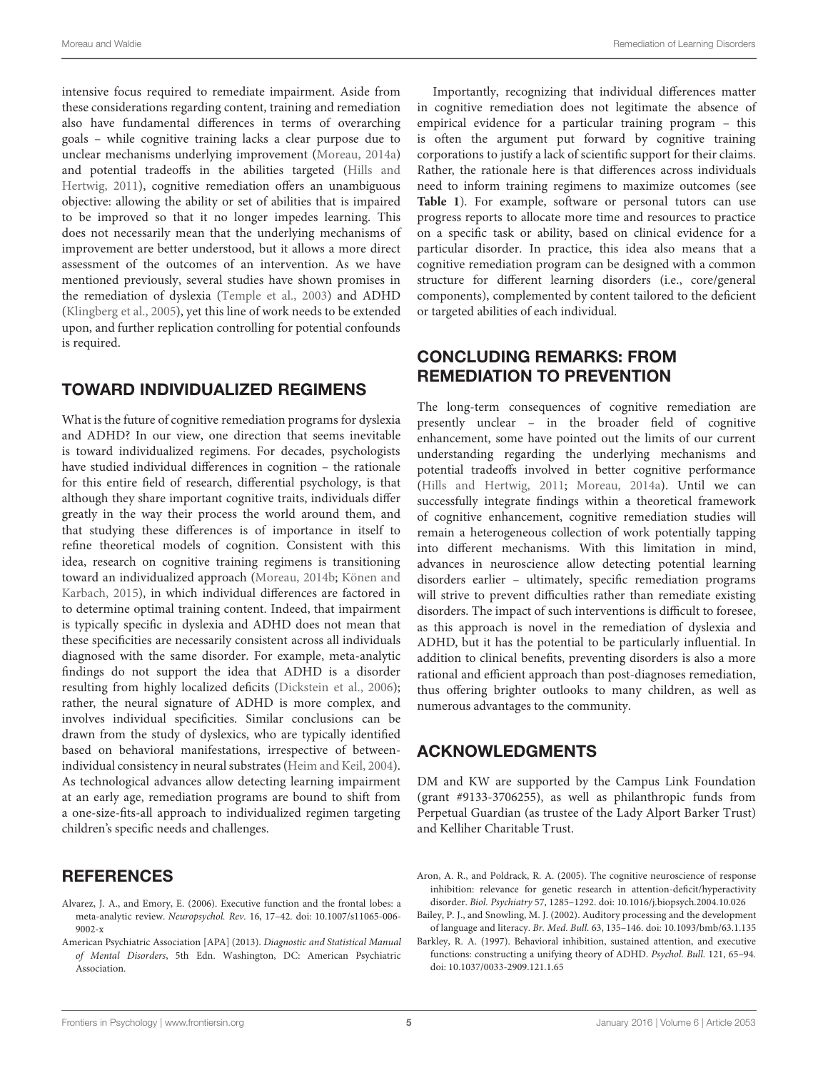intensive focus required to remediate impairment. Aside from these considerations regarding content, training and remediation also have fundamental differences in terms of overarching goals – while cognitive training lacks a clear purpose due to unclear mechanisms underlying improvement [\(Moreau, 2014a](#page-6-38)) and potential tradeoffs in the abilities targeted (Hills and Hertwig, [2011\)](#page-5-38), cognitive remediation offers an unambiguous objective: allowing the ability or set of abilities that is impaired to be improved so that it no longer impedes learning. This does not necessarily mean that the underlying mechanisms of improvement are better understood, but it allows a more direct assessment of the outcomes of an intervention. As we have mentioned previously, several studies have shown promises in the remediation of dyslexia [\(Temple et al., 2003](#page-6-32)) and ADHD [\(Klingberg et al., 2005](#page-5-39)), yet this line of work needs to be extended upon, and further replication controlling for potential confounds is required.

### TOWARD INDIVIDUALIZED REGIMENS

What is the future of cognitive remediation programs for dyslexia and ADHD? In our view, one direction that seems inevitable is toward individualized regimens. For decades, psychologists have studied individual differences in cognition – the rationale for this entire field of research, differential psychology, is that although they share important cognitive traits, individuals differ greatly in the way their process the world around them, and that studying these differences is of importance in itself to refine theoretical models of cognition. Consistent with this idea, research on cognitive training regimens is transitioning toward [an individualized approach](#page-5-40) [\(Moreau](#page-6-39)[,](#page-5-40) [2014b](#page-6-39)[;](#page-5-40) Könen and Karbach, [2015\)](#page-5-40), in which individual differences are factored in to determine optimal training content. Indeed, that impairment is typically specific in dyslexia and ADHD does not mean that these specificities are necessarily consistent across all individuals diagnosed with the same disorder. For example, meta-analytic findings do not support the idea that ADHD is a disorder resulting from highly localized deficits [\(Dickstein et al.](#page-5-41), [2006](#page-5-41)); rather, the neural signature of ADHD is more complex, and involves individual specificities. Similar conclusions can be drawn from the study of dyslexics, who are typically identified based on behavioral manifestations, irrespective of betweenindividual consistency in neural substrates [\(Heim and Keil](#page-5-42), [2004](#page-5-42)). As technological advances allow detecting learning impairment at an early age, remediation programs are bound to shift from a one-size-fits-all approach to individualized regimen targeting children's specific needs and challenges.

### **REFERENCES**

- <span id="page-4-3"></span>Alvarez, J. A., and Emory, E. (2006). Executive function and the frontal lobes: a meta-analytic review. *Neuropsychol. Rev.* 16, 17–42. doi: 10.1007/s11065-006- 9002-x
- <span id="page-4-0"></span>American Psychiatric Association [APA] (2013). *Diagnostic and Statistical Manual of Mental Disorders*, 5th Edn. Washington, DC: American Psychiatric Association.

Importantly, recognizing that individual differences matter in cognitive remediation does not legitimate the absence of empirical evidence for a particular training program – this is often the argument put forward by cognitive training corporations to justify a lack of scientific support for their claims. Rather, the rationale here is that differences across individuals need to inform training regimens to maximize outcomes (see **[Table 1](#page-3-0)**). For example, software or personal tutors can use progress reports to allocate more time and resources to practice on a specific task or ability, based on clinical evidence for a particular disorder. In practice, this idea also means that a cognitive remediation program can be designed with a common structure for different learning disorders (i.e., core/general components), complemented by content tailored to the deficient or targeted abilities of each individual.

### CONCLUDING REMARKS: FROM REMEDIATION TO PREVENTION

The long-term consequences of cognitive remediation are presently unclear – in the broader field of cognitive enhancement, some have pointed out the limits of our current understanding regarding the underlying mechanisms and potential tradeoffs involved in better cognitive performance [\(Hills and Hertwig, 2011](#page-5-38); [Moreau, 2014a](#page-6-38)). Until we can successfully integrate findings within a theoretical framework of cognitive enhancement, cognitive remediation studies will remain a heterogeneous collection of work potentially tapping into different mechanisms. With this limitation in mind, advances in neuroscience allow detecting potential learning disorders earlier – ultimately, specific remediation programs will strive to prevent difficulties rather than remediate existing disorders. The impact of such interventions is difficult to foresee, as this approach is novel in the remediation of dyslexia and ADHD, but it has the potential to be particularly influential. In addition to clinical benefits, preventing disorders is also a more rational and efficient approach than post-diagnoses remediation, thus offering brighter outlooks to many children, as well as numerous advantages to the community.

# ACKNOWLEDGMENTS

DM and KW are supported by the Campus Link Foundation (grant #9133-3706255), as well as philanthropic funds from Perpetual Guardian (as trustee of the Lady Alport Barker Trust) and Kelliher Charitable Trust.

<span id="page-4-2"></span>Aron, A. R., and Poldrack, R. A. (2005). The cognitive neuroscience of response inhibition: relevance for genetic research in attention-deficit/hyperactivity disorder. *Biol. Psychiatry* 57, 1285–1292. doi: 10.1016/j.biopsych.2004.10.026

<span id="page-4-4"></span>Bailey, P. J., and Snowling, M. J. (2002). Auditory processing and the development of language and literacy. *Br. Med. Bull.* 63, 135–146. doi: 10.1093/bmb/63.1.135

<span id="page-4-1"></span>Barkley, R. A. (1997). Behavioral inhibition, sustained attention, and executive functions: constructing a unifying theory of ADHD. *Psychol. Bull.* 121, 65–94. doi: 10.1037/0033-2909.121.1.65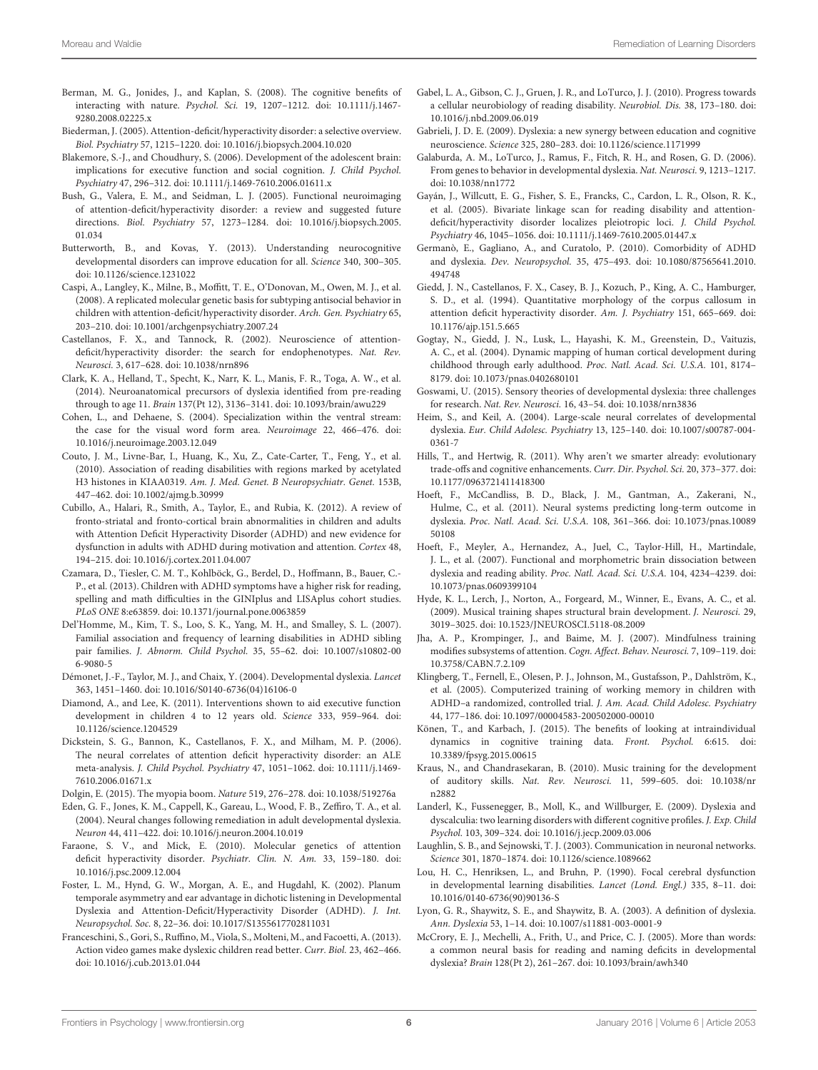- <span id="page-5-36"></span>Berman, M. G., Jonides, J., and Kaplan, S. (2008). The cognitive benefits of interacting with nature. *Psychol. Sci.* 19, 1207–1212. doi: 10.1111/j.1467- 9280.2008.02225.x
- <span id="page-5-24"></span>Biederman, J. (2005). Attention-deficit/hyperactivity disorder: a selective overview. *Biol. Psychiatry* 57, 1215–1220. doi: 10.1016/j.biopsych.2004.10.020
- <span id="page-5-26"></span>Blakemore, S.-J., and Choudhury, S. (2006). Development of the adolescent brain: implications for executive function and social cognition. *J. Child Psychol. Psychiatry* 47, 296–312. doi: 10.1111/j.1469-7610.2006.01611.x
- <span id="page-5-7"></span>Bush, G., Valera, E. M., and Seidman, L. J. (2005). Functional neuroimaging of attention-deficit/hyperactivity disorder: a review and suggested future directions. *Biol. Psychiatry* 57, 1273–1284. doi: 10.1016/j.biopsych.2005. 01.034
- <span id="page-5-6"></span>Butterworth, B., and Kovas, Y. (2013). Understanding neurocognitive developmental disorders can improve education for all. *Science* 340, 300–305. doi: 10.1126/science.1231022
- <span id="page-5-20"></span>Caspi, A., Langley, K., Milne, B., Moffitt, T. E., O'Donovan, M., Owen, M. J., et al. (2008). A replicated molecular genetic basis for subtyping antisocial behavior in children with attention-deficit/hyperactivity disorder. *Arch. Gen. Psychiatry* 65, 203–210. doi: 10.1001/archgenpsychiatry.2007.24
- <span id="page-5-17"></span>Castellanos, F. X., and Tannock, R. (2002). Neuroscience of attentiondeficit/hyperactivity disorder: the search for endophenotypes. *Nat. Rev. Neurosci.* 3, 617–628. doi: 10.1038/nrn896
- <span id="page-5-2"></span>Clark, K. A., Helland, T., Specht, K., Narr, K. L., Manis, F. R., Toga, A. W., et al. (2014). Neuroanatomical precursors of dyslexia identified from pre-reading through to age 11. *Brain* 137(Pt 12), 3136–3141. doi: 10.1093/brain/awu229
- <span id="page-5-25"></span>Cohen, L., and Dehaene, S. (2004). Specialization within the ventral stream: the case for the visual word form area. *Neuroimage* 22, 466–476. doi: 10.1016/j.neuroimage.2003.12.049
- <span id="page-5-21"></span>Couto, J. M., Livne-Bar, I., Huang, K., Xu, Z., Cate-Carter, T., Feng, Y., et al. (2010). Association of reading disabilities with regions marked by acetylated H3 histones in KIAA0319. *Am. J. Med. Genet. B Neuropsychiatr. Genet.* 153B, 447–462. doi: 10.1002/ajmg.b.30999
- <span id="page-5-15"></span>Cubillo, A., Halari, R., Smith, A., Taylor, E., and Rubia, K. (2012). A review of fronto-striatal and fronto-cortical brain abnormalities in children and adults with Attention Deficit Hyperactivity Disorder (ADHD) and new evidence for dysfunction in adults with ADHD during motivation and attention. *Cortex* 48, 194–215. doi: 10.1016/j.cortex.2011.04.007
- <span id="page-5-10"></span>Czamara, D., Tiesler, C. M. T., Kohlböck, G., Berdel, D., Hoffmann, B., Bauer, C.- P., et al. (2013). Children with ADHD symptoms have a higher risk for reading, spelling and math difficulties in the GINIplus and LISAplus cohort studies. *PLoS ONE* 8:e63859. doi: 10.1371/journal.pone.0063859
- <span id="page-5-16"></span>Del'Homme, M., Kim, T. S., Loo, S. K., Yang, M. H., and Smalley, S. L. (2007). Familial association and frequency of learning disabilities in ADHD sibling pair families. *J. Abnorm. Child Psychol.* 35, 55–62. doi: 10.1007/s10802-00 6-9080-5
- <span id="page-5-3"></span>Démonet, J.-F., Taylor, M. J., and Chaix, Y. (2004). Developmental dyslexia. *Lancet* 363, 1451–1460. doi: 10.1016/S0140-6736(04)16106-0
- <span id="page-5-32"></span>Diamond, A., and Lee, K. (2011). Interventions shown to aid executive function development in children 4 to 12 years old. *Science* 333, 959–964. doi: 10.1126/science.1204529
- <span id="page-5-41"></span>Dickstein, S. G., Bannon, K., Castellanos, F. X., and Milham, M. P. (2006). The neural correlates of attention deficit hyperactivity disorder: an ALE meta-analysis. *J. Child Psychol. Psychiatry* 47, 1051–1062. doi: 10.1111/j.1469- 7610.2006.01671.x
- <span id="page-5-37"></span>Dolgin, E. (2015). The myopia boom. *Nature* 519, 276–278. doi: 10.1038/519276a
- <span id="page-5-30"></span>Eden, G. F., Jones, K. M., Cappell, K., Gareau, L., Wood, F. B., Zeffiro, T. A., et al. (2004). Neural changes following remediation in adult developmental dyslexia. *Neuron* 44, 411–422. doi: 10.1016/j.neuron.2004.10.019
- <span id="page-5-22"></span>Faraone, S. V., and Mick, E. (2010). Molecular genetics of attention deficit hyperactivity disorder. *Psychiatr. Clin. N. Am.* 33, 159–180. doi: 10.1016/j.psc.2009.12.004
- <span id="page-5-12"></span>Foster, L. M., Hynd, G. W., Morgan, A. E., and Hugdahl, K. (2002). Planum temporale asymmetry and ear advantage in dichotic listening in Developmental Dyslexia and Attention-Deficit/Hyperactivity Disorder (ADHD). *J. Int. Neuropsychol. Soc.* 8, 22–36. doi: 10.1017/S1355617702811031
- <span id="page-5-31"></span>Franceschini, S., Gori, S., Ruffino, M., Viola, S., Molteni, M., and Facoetti, A. (2013). Action video games make dyslexic children read better. *Curr. Biol.* 23, 462–466. doi: 10.1016/j.cub.2013.01.044
- <span id="page-5-23"></span>Gabel, L. A., Gibson, C. J., Gruen, J. R., and LoTurco, J. J. (2010). Progress towards a cellular neurobiology of reading disability. *Neurobiol. Dis.* 38, 173–180. doi: 10.1016/j.nbd.2009.06.019
- <span id="page-5-5"></span>Gabrieli, J. D. E. (2009). Dyslexia: a new synergy between education and cognitive neuroscience. *Science* 325, 280–283. doi: 10.1126/science.1171999
- <span id="page-5-19"></span>Galaburda, A. M., LoTurco, J., Ramus, F., Fitch, R. H., and Rosen, G. D. (2006). From genes to behavior in developmental dyslexia. *Nat. Neurosci.* 9, 1213–1217. doi: 10.1038/nn1772
- <span id="page-5-18"></span>Gayán, J., Willcutt, E. G., Fisher, S. E., Francks, C., Cardon, L. R., Olson, R. K., et al. (2005). Bivariate linkage scan for reading disability and attentiondeficit/hyperactivity disorder localizes pleiotropic loci. *J. Child Psychol. Psychiatry* 46, 1045–1056. doi: 10.1111/j.1469-7610.2005.01447.x
- <span id="page-5-8"></span>Germanò, E., Gagliano, A., and Curatolo, P. (2010). Comorbidity of ADHD and dyslexia. *Dev. Neuropsychol.* 35, 475–493. doi: 10.1080/87565641.2010. 494748
- <span id="page-5-11"></span>Giedd, J. N., Castellanos, F. X., Casey, B. J., Kozuch, P., King, A. C., Hamburger, S. D., et al. (1994). Quantitative morphology of the corpus callosum in attention deficit hyperactivity disorder. *Am. J. Psychiatry* 151, 665–669. doi: 10.1176/ajp.151.5.665
- <span id="page-5-27"></span>Gogtay, N., Giedd, J. N., Lusk, L., Hayashi, K. M., Greenstein, D., Vaituzis, A. C., et al. (2004). Dynamic mapping of human cortical development during childhood through early adulthood. *Proc. Natl. Acad. Sci. U.S.A.* 101, 8174– 8179. doi: 10.1073/pnas.0402680101
- <span id="page-5-1"></span>Goswami, U. (2015). Sensory theories of developmental dyslexia: three challenges for research. *Nat. Rev. Neurosci.* 16, 43–54. doi: 10.1038/nrn3836
- <span id="page-5-42"></span>Heim, S., and Keil, A. (2004). Large-scale neural correlates of developmental dyslexia. *Eur. Child Adolesc. Psychiatry* 13, 125–140. doi: 10.1007/s00787-004- 0361-7
- <span id="page-5-38"></span>Hills, T., and Hertwig, R. (2011). Why aren't we smarter already: evolutionary trade-offs and cognitive enhancements. *Curr. Dir. Psychol. Sci.* 20, 373–377. doi: 10.1177/0963721411418300
- <span id="page-5-29"></span>Hoeft, F., McCandliss, B. D., Black, J. M., Gantman, A., Zakerani, N., Hulme, C., et al. (2011). Neural systems predicting long-term outcome in dyslexia. *Proc. Natl. Acad. Sci. U.S.A.* 108, 361–366. doi: 10.1073/pnas.10089 50108
- <span id="page-5-13"></span>Hoeft, F., Meyler, A., Hernandez, A., Juel, C., Taylor-Hill, H., Martindale, J. L., et al. (2007). Functional and morphometric brain dissociation between dyslexia and reading ability. *Proc. Natl. Acad. Sci. U.S.A.* 104, 4234–4239. doi: 10.1073/pnas.0609399104
- <span id="page-5-34"></span>Hyde, K. L., Lerch, J., Norton, A., Forgeard, M., Winner, E., Evans, A. C., et al. (2009). Musical training shapes structural brain development. *J. Neurosci.* 29, 3019–3025. doi: 10.1523/JNEUROSCI.5118-08.2009
- <span id="page-5-35"></span>Jha, A. P., Krompinger, J., and Baime, M. J. (2007). Mindfulness training modifies subsystems of attention. *Cogn. Affect. Behav. Neurosci.* 7, 109–119. doi: 10.3758/CABN.7.2.109
- <span id="page-5-39"></span>Klingberg, T., Fernell, E., Olesen, P. J., Johnson, M., Gustafsson, P., Dahlström, K., et al. (2005). Computerized training of working memory in children with ADHD–a randomized, controlled trial. *J. Am. Acad. Child Adolesc. Psychiatry* 44, 177–186. doi: 10.1097/00004583-200502000-00010
- <span id="page-5-40"></span>Könen, T., and Karbach, J. (2015). The benefits of looking at intraindividual dynamics in cognitive training data. *Front. Psychol.* 6:615. doi: 10.3389/fpsyg.2015.00615
- <span id="page-5-33"></span>Kraus, N., and Chandrasekaran, B. (2010). Music training for the development of auditory skills. *Nat. Rev. Neurosci.* 11, 599–605. doi: 10.1038/nr n2882
- <span id="page-5-9"></span>Landerl, K., Fussenegger, B., Moll, K., and Willburger, E. (2009). Dyslexia and dyscalculia: two learning disorders with different cognitive profiles. *J. Exp. Child Psychol.* 103, 309–324. doi: 10.1016/j.jecp.2009.03.006
- <span id="page-5-28"></span>Laughlin, S. B., and Sejnowski, T. J. (2003). Communication in neuronal networks. *Science* 301, 1870–1874. doi: 10.1126/science.1089662
- <span id="page-5-14"></span>Lou, H. C., Henriksen, L., and Bruhn, P. (1990). Focal cerebral dysfunction in developmental learning disabilities. *Lancet (Lond. Engl.)* 335, 8–11. doi: 10.1016/0140-6736(90)90136-S
- <span id="page-5-0"></span>Lyon, G. R., Shaywitz, S. E., and Shaywitz, B. A. (2003). A definition of dyslexia. *Ann. Dyslexia* 53, 1–14. doi: 10.1007/s11881-003-0001-9
- <span id="page-5-4"></span>McCrory, E. J., Mechelli, A., Frith, U., and Price, C. J. (2005). More than words: a common neural basis for reading and naming deficits in developmental dyslexia? *Brain* 128(Pt 2), 261–267. doi: 10.1093/brain/awh340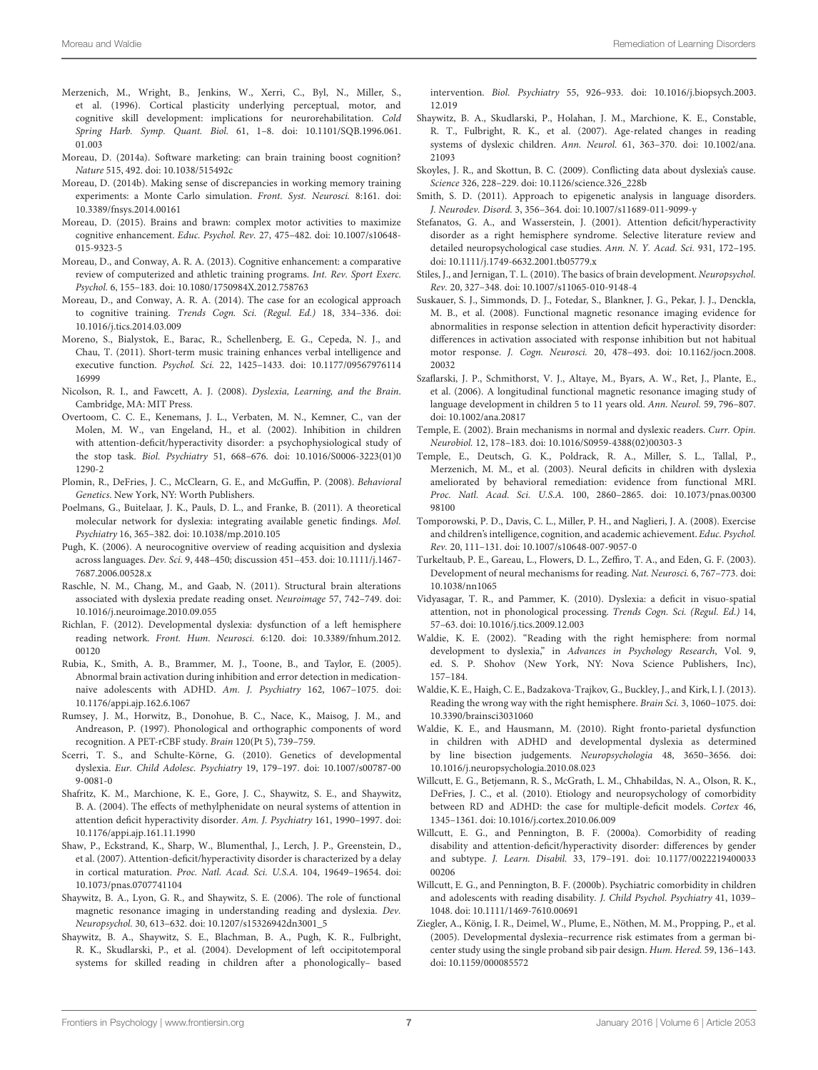- <span id="page-6-30"></span>Merzenich, M., Wright, B., Jenkins, W., Xerri, C., Byl, N., Miller, S., et al. (1996). Cortical plasticity underlying perceptual, motor, and cognitive skill development: implications for neurorehabilitation. *Cold Spring Harb. Symp. Quant. Biol.* 61, 1–8. doi: 10.1101/SQB.1996.061. 01.003
- <span id="page-6-38"></span>Moreau, D. (2014a). Software marketing: can brain training boost cognition? *Nature* 515, 492. doi: 10.1038/515492c
- <span id="page-6-39"></span>Moreau, D. (2014b). Making sense of discrepancies in working memory training experiments: a Monte Carlo simulation. *Front. Syst. Neurosci.* 8:161. doi: 10.3389/fnsys.2014.00161
- <span id="page-6-35"></span>Moreau, D. (2015). Brains and brawn: complex motor activities to maximize cognitive enhancement. *Educ. Psychol. Rev.* 27, 475–482. doi: 10.1007/s10648- 015-9323-5
- <span id="page-6-36"></span>Moreau, D., and Conway, A. R. A. (2013). Cognitive enhancement: a comparative review of computerized and athletic training programs. *Int. Rev. Sport Exerc. Psychol.* 6, 155–183. doi: 10.1080/1750984X.2012.758763
- <span id="page-6-33"></span>Moreau, D., and Conway, A. R. A. (2014). The case for an ecological approach to cognitive training. *Trends Cogn. Sci. (Regul. Ed.)* 18, 334–336. doi: 10.1016/j.tics.2014.03.009
- <span id="page-6-37"></span>Moreno, S., Bialystok, E., Barac, R., Schellenberg, E. G., Cepeda, N. J., and Chau, T. (2011). Short-term music training enhances verbal intelligence and executive function. *Psychol. Sci.* 22, 1425–1433. doi: 10.1177/09567976114 16999
- <span id="page-6-0"></span>Nicolson, R. I., and Fawcett, A. J. (2008). *Dyslexia, Learning, and the Brain*. Cambridge, MA: MIT Press.
- <span id="page-6-8"></span>Overtoom, C. C. E., Kenemans, J. L., Verbaten, M. N., Kemner, C., van der Molen, M. W., van Engeland, H., et al. (2002). Inhibition in children with attention-deficit/hyperactivity disorder: a psychophysiological study of the stop task. *Biol. Psychiatry* 51, 668–676. doi: 10.1016/S0006-3223(01)0 1290-2
- <span id="page-6-17"></span>Plomin, R., DeFries, J. C., McClearn, G. E., and McGuffin, P. (2008). *Behavioral Genetics*. New York, NY: Worth Publishers.
- <span id="page-6-21"></span>Poelmans, G., Buitelaar, J. K., Pauls, D. L., and Franke, B. (2011). A theoretical molecular network for dyslexia: integrating available genetic findings. *Mol. Psychiatry* 16, 365–382. doi: 10.1038/mp.2010.105
- <span id="page-6-24"></span>Pugh, K. (2006). A neurocognitive overview of reading acquisition and dyslexia across languages. *Dev. Sci.* 9, 448–450; discussion 451–453. doi: 10.1111/j.1467- 7687.2006.00528.x
- <span id="page-6-1"></span>Raschle, N. M., Chang, M., and Gaab, N. (2011). Structural brain alterations associated with dyslexia predate reading onset. *Neuroimage* 57, 742–749. doi: 10.1016/j.neuroimage.2010.09.055
- <span id="page-6-25"></span>Richlan, F. (2012). Developmental dyslexia: dysfunction of a left hemisphere reading network. *Front. Hum. Neurosci.* 6:120. doi: 10.3389/fnhum.2012. 00120
- <span id="page-6-9"></span>Rubia, K., Smith, A. B., Brammer, M. J., Toone, B., and Taylor, E. (2005). Abnormal brain activation during inhibition and error detection in medicationnaive adolescents with ADHD. *Am. J. Psychiatry* 162, 1067–1075. doi: 10.1176/appi.ajp.162.6.1067
- <span id="page-6-22"></span>Rumsey, J. M., Horwitz, B., Donohue, B. C., Nace, K., Maisog, J. M., and Andreason, P. (1997). Phonological and orthographic components of word recognition. A PET-rCBF study. *Brain* 120(Pt 5), 739–759.
- <span id="page-6-18"></span>Scerri, T. S., and Schulte-Körne, G. (2010). Genetics of developmental dyslexia. *Eur. Child Adolesc. Psychiatry* 19, 179–197. doi: 10.1007/s00787-00 9-0081-0
- <span id="page-6-16"></span>Shafritz, K. M., Marchione, K. E., Gore, J. C., Shaywitz, S. E., and Shaywitz, B. A. (2004). The effects of methylphenidate on neural systems of attention in attention deficit hyperactivity disorder. *Am. J. Psychiatry* 161, 1990–1997. doi: 10.1176/appi.ajp.161.11.1990
- <span id="page-6-29"></span>Shaw, P., Eckstrand, K., Sharp, W., Blumenthal, J., Lerch, J. P., Greenstein, D., et al. (2007). Attention-deficit/hyperactivity disorder is characterized by a delay in cortical maturation. *Proc. Natl. Acad. Sci. U.S.A.* 104, 19649–19654. doi: 10.1073/pnas.0707741104
- <span id="page-6-5"></span>Shaywitz, B. A., Lyon, G. R., and Shaywitz, S. E. (2006). The role of functional magnetic resonance imaging in understanding reading and dyslexia. *Dev. Neuropsychol.* 30, 613–632. doi: 10.1207/s15326942dn3001\_5
- <span id="page-6-31"></span>Shaywitz, B. A., Shaywitz, S. E., Blachman, B. A., Pugh, K. R., Fulbright, R. K., Skudlarski, P., et al. (2004). Development of left occipitotemporal systems for skilled reading in children after a phonologically– based

intervention. *Biol. Psychiatry* 55, 926–933. doi: 10.1016/j.biopsych.2003. 12.019

- <span id="page-6-27"></span>Shaywitz, B. A., Skudlarski, P., Holahan, J. M., Marchione, K. E., Constable, R. T., Fulbright, R. K., et al. (2007). Age-related changes in reading systems of dyslexic children. *Ann. Neurol.* 61, 363–370. doi: 10.1002/ana. 21093
- <span id="page-6-3"></span>Skoyles, J. R., and Skottun, B. C. (2009). Conflicting data about dyslexia's cause. *Science* 326, 228–229. doi: 10.1126/science.326\_228b
- <span id="page-6-20"></span>Smith, S. D. (2011). Approach to epigenetic analysis in language disorders. *J. Neurodev. Disord.* 3, 356–364. doi: 10.1007/s11689-011-9099-y
- <span id="page-6-15"></span>Stefanatos, G. A., and Wasserstein, J. (2001). Attention deficit/hyperactivity disorder as a right hemisphere syndrome. Selective literature review and detailed neuropsychological case studies. *Ann. N. Y. Acad. Sci.* 931, 172–195. doi: 10.1111/j.1749-6632.2001.tb05779.x
- <span id="page-6-28"></span>Stiles, J., and Jernigan, T. L. (2010). The basics of brain development. *Neuropsychol. Rev.* 20, 327–348. doi: 10.1007/s11065-010-9148-4
- <span id="page-6-10"></span>Suskauer, S. J., Simmonds, D. J., Fotedar, S., Blankner, J. G., Pekar, J. J., Denckla, M. B., et al. (2008). Functional magnetic resonance imaging evidence for abnormalities in response selection in attention deficit hyperactivity disorder: differences in activation associated with response inhibition but not habitual motor response. *J. Cogn. Neurosci.* 20, 478–493. doi: 10.1162/jocn.2008. 20032
- <span id="page-6-26"></span>Szaflarski, J. P., Schmithorst, V. J., Altaye, M., Byars, A. W., Ret, J., Plante, E., et al. (2006). A longitudinal functional magnetic resonance imaging study of language development in children 5 to 11 years old. *Ann. Neurol.* 59, 796–807. doi: 10.1002/ana.20817
- <span id="page-6-4"></span>Temple, E. (2002). Brain mechanisms in normal and dyslexic readers. *Curr. Opin. Neurobiol.* 12, 178–183. doi: 10.1016/S0959-4388(02)00303-3
- <span id="page-6-32"></span>Temple, E., Deutsch, G. K., Poldrack, R. A., Miller, S. L., Tallal, P., Merzenich, M. M., et al. (2003). Neural deficits in children with dyslexia ameliorated by behavioral remediation: evidence from functional MRI. *Proc. Natl. Acad. Sci. U.S.A.* 100, 2860–2865. doi: 10.1073/pnas.00300 98100
- <span id="page-6-34"></span>Tomporowski, P. D., Davis, C. L., Miller, P. H., and Naglieri, J. A. (2008). Exercise and children's intelligence, cognition, and academic achievement. *Educ. Psychol. Rev.* 20, 111–131. doi: 10.1007/s10648-007-9057-0
- <span id="page-6-23"></span>Turkeltaub, P. E., Gareau, L., Flowers, D. L., Zeffiro, T. A., and Eden, G. F. (2003). Development of neural mechanisms for reading. *Nat. Neurosci.* 6, 767–773. doi: 10.1038/nn1065
- <span id="page-6-2"></span>Vidyasagar, T. R., and Pammer, K. (2010). Dyslexia: a deficit in visuo-spatial attention, not in phonological processing. *Trends Cogn. Sci. (Regul. Ed.)* 14, 57–63. doi: 10.1016/j.tics.2009.12.003
- <span id="page-6-7"></span>Waldie, K. E. (2002). "Reading with the right hemisphere: from normal development to dyslexia," in *Advances in Psychology Research*, Vol. 9, ed. S. P. Shohov (New York, NY: Nova Science Publishers, Inc), 157–184.
- <span id="page-6-6"></span>Waldie, K. E., Haigh, C. E., Badzakova-Trajkov, G., Buckley, J., and Kirk, I. J. (2013). Reading the wrong way with the right hemisphere. *Brain Sci.* 3, 1060–1075. doi: 10.3390/brainsci3031060
- <span id="page-6-13"></span>Waldie, K. E., and Hausmann, M. (2010). Right fronto-parietal dysfunction in children with ADHD and developmental dyslexia as determined by line bisection judgements. *Neuropsychologia* 48, 3650–3656. doi: 10.1016/j.neuropsychologia.2010.08.023
- <span id="page-6-14"></span>Willcutt, E. G., Betjemann, R. S., McGrath, L. M., Chhabildas, N. A., Olson, R. K., DeFries, J. C., et al. (2010). Etiology and neuropsychology of comorbidity between RD and ADHD: the case for multiple-deficit models. *Cortex* 46, 1345–1361. doi: 10.1016/j.cortex.2010.06.009
- <span id="page-6-11"></span>Willcutt, E. G., and Pennington, B. F. (2000a). Comorbidity of reading disability and attention-deficit/hyperactivity disorder: differences by gender and subtype. *J. Learn. Disabil.* 33, 179–191. doi: 10.1177/0022219400033 00206
- <span id="page-6-12"></span>Willcutt, E. G., and Pennington, B. F. (2000b). Psychiatric comorbidity in children and adolescents with reading disability. *J. Child Psychol. Psychiatry* 41, 1039– 1048. doi: 10.1111/1469-7610.00691
- <span id="page-6-19"></span>Ziegler, A., König, I. R., Deimel, W., Plume, E., Nöthen, M. M., Propping, P., et al. (2005). Developmental dyslexia–recurrence risk estimates from a german bicenter study using the single proband sib pair design. *Hum. Hered.* 59, 136–143. doi: 10.1159/000085572